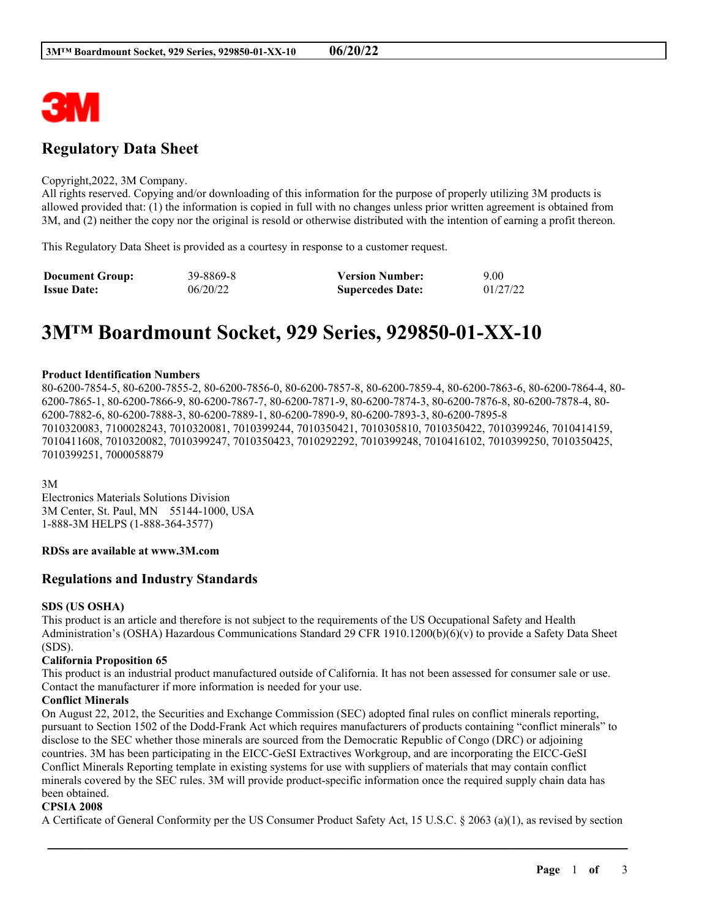

## **Regulatory Data Sheet**

#### Copyright,2022, 3M Company.

All rights reserved. Copying and/or downloading of this information for the purpose of properly utilizing 3M products is allowed provided that: (1) the information is copied in full with no changes unless prior written agreement is obtained from 3M, and (2) neither the copy nor the original is resold or otherwise distributed with the intention of earning a profit thereon.

This Regulatory Data Sheet is provided as a courtesy in response to a customer request.

| <b>Document Group:</b> | 39-8869-8 | <b>Version Number:</b>  | 9.00     |
|------------------------|-----------|-------------------------|----------|
| <b>Issue Date:</b>     | 06/20/22  | <b>Supercedes Date:</b> | 01/27/22 |

# **3M™ Boardmount Socket, 929 Series, 929850-01-XX-10**

#### **Product Identification Numbers**

80-6200-7854-5, 80-6200-7855-2, 80-6200-7856-0, 80-6200-7857-8, 80-6200-7859-4, 80-6200-7863-6, 80-6200-7864-4, 80- 6200-7865-1, 80-6200-7866-9, 80-6200-7867-7, 80-6200-7871-9, 80-6200-7874-3, 80-6200-7876-8, 80-6200-7878-4, 80- 6200-7882-6, 80-6200-7888-3, 80-6200-7889-1, 80-6200-7890-9, 80-6200-7893-3, 80-6200-7895-8 7010320083, 7100028243, 7010320081, 7010399244, 7010350421, 7010305810, 7010350422, 7010399246, 7010414159, 7010411608, 7010320082, 7010399247, 7010350423, 7010292292, 7010399248, 7010416102, 7010399250, 7010350425, 7010399251, 7000058879

3M

Electronics Materials Solutions Division 3M Center, St. Paul, MN 55144-1000, USA 1-888-3M HELPS (1-888-364-3577)

#### **RDSs are available at www.3M.com**

### **Regulations and Industry Standards**

#### **SDS (US OSHA)**

This product is an article and therefore is not subject to the requirements of the US Occupational Safety and Health Administration's (OSHA) Hazardous Communications Standard 29 CFR 1910.1200(b)(6)(v) to provide a Safety Data Sheet (SDS).

#### **California Proposition 65**

This product is an industrial product manufactured outside of California. It has not been assessed for consumer sale or use. Contact the manufacturer if more information is needed for your use.

#### **Conflict Minerals**

On August 22, 2012, the Securities and Exchange Commission (SEC) adopted final rules on conflict minerals reporting, pursuant to Section 1502 of the Dodd-Frank Act which requires manufacturers of products containing "conflict minerals" to disclose to the SEC whether those minerals are sourced from the Democratic Republic of Congo (DRC) or adjoining countries. 3M has been participating in the EICC-GeSI Extractives Workgroup, and are incorporating the EICC-GeSI Conflict Minerals Reporting template in existing systems for use with suppliers of materials that may contain conflict minerals covered by the SEC rules. 3M will provide product-specific information once the required supply chain data has been obtained.

#### **CPSIA 2008**

A Certificate of General Conformity per the US Consumer Product Safety Act, 15 U.S.C. § 2063 (a)(1), as revised by section

\_\_\_\_\_\_\_\_\_\_\_\_\_\_\_\_\_\_\_\_\_\_\_\_\_\_\_\_\_\_\_\_\_\_\_\_\_\_\_\_\_\_\_\_\_\_\_\_\_\_\_\_\_\_\_\_\_\_\_\_\_\_\_\_\_\_\_\_\_\_\_\_\_\_\_\_\_\_\_\_\_\_\_\_\_\_\_\_\_\_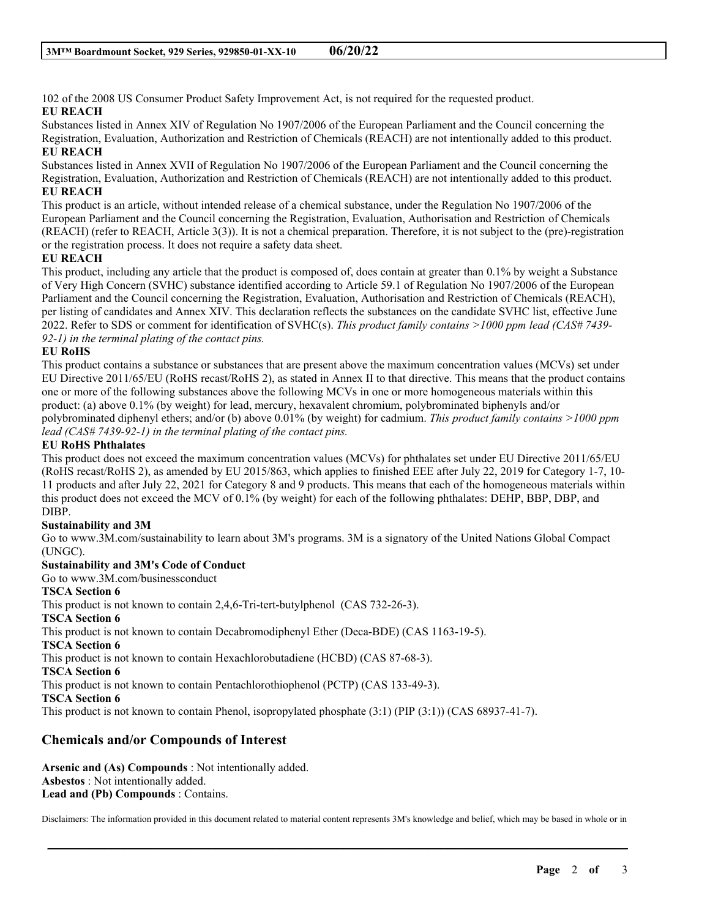102 of the 2008 US Consumer Product Safety Improvement Act, is not required for the requested product. **EU REACH**

Substances listed in Annex XIV of Regulation No 1907/2006 of the European Parliament and the Council concerning the Registration, Evaluation, Authorization and Restriction of Chemicals (REACH) are not intentionally added to this product. **EU REACH**

Substances listed in Annex XVII of Regulation No 1907/2006 of the European Parliament and the Council concerning the Registration, Evaluation, Authorization and Restriction of Chemicals (REACH) are not intentionally added to this product. **EU REACH**

This product is an article, without intended release of a chemical substance, under the Regulation No 1907/2006 of the European Parliament and the Council concerning the Registration, Evaluation, Authorisation and Restriction of Chemicals (REACH) (refer to REACH, Article 3(3)). It is not a chemical preparation. Therefore, it is not subject to the (pre)-registration or the registration process. It does not require a safety data sheet.

## **EU REACH**

This product, including any article that the product is composed of, does contain at greater than 0.1% by weight a Substance of Very High Concern (SVHC) substance identified according to Article 59.1 of Regulation No 1907/2006 of the European Parliament and the Council concerning the Registration, Evaluation, Authorisation and Restriction of Chemicals (REACH), per listing of candidates and Annex XIV. This declaration reflects the substances on the candidate SVHC list, effective June 2022. Refer to SDS or comment for identification of SVHC(s). *This product family contains >1000 ppm lead (CAS# 7439- 92-1) in the terminal plating of the contact pins.*

### **EU RoHS**

This product contains a substance or substances that are present above the maximum concentration values (MCVs) set under EU Directive 2011/65/EU (RoHS recast/RoHS 2), as stated in Annex II to that directive. This means that the product contains one or more of the following substances above the following MCVs in one or more homogeneous materials within this product: (a) above 0.1% (by weight) for lead, mercury, hexavalent chromium, polybrominated biphenyls and/or polybrominated diphenyl ethers; and/or (b) above 0.01% (by weight) for cadmium. *This product family contains >1000 ppm lead (CAS# 7439-92-1) in the terminal plating of the contact pins.*

### **EU RoHS Phthalates**

This product does not exceed the maximum concentration values (MCVs) for phthalates set under EU Directive 2011/65/EU (RoHS recast/RoHS 2), as amended by EU 2015/863, which applies to finished EEE after July 22, 2019 for Category 1-7, 10- 11 products and after July 22, 2021 for Category 8 and 9 products. This means that each of the homogeneous materials within this product does not exceed the MCV of 0.1% (by weight) for each of the following phthalates: DEHP, BBP, DBP, and DIBP.

## **Sustainability and 3M**

Go to www.3M.com/sustainability to learn about 3M's programs. 3M is a signatory of the United Nations Global Compact (UNGC).

## **Sustainability and 3M's Code of Conduct**

Go to www.3M.com/businessconduct

## **TSCA Section 6**

This product is not known to contain 2,4,6-Tri-tert-butylphenol (CAS 732-26-3).

### **TSCA Section 6**

This product is not known to contain Decabromodiphenyl Ether (Deca-BDE) (CAS 1163-19-5).

## **TSCA Section 6**

This product is not known to contain Hexachlorobutadiene (HCBD) (CAS 87-68-3).

**TSCA Section 6**

This product is not known to contain Pentachlorothiophenol (PCTP) (CAS 133-49-3).

### **TSCA Section 6**

This product is not known to contain Phenol, isopropylated phosphate (3:1) (PIP (3:1)) (CAS 68937-41-7).

## **Chemicals and/or Compounds of Interest**

**Arsenic and (As) Compounds** : Not intentionally added. **Asbestos** : Not intentionally added. **Lead and (Pb) Compounds** : Contains.

Disclaimers: The information provided in this document related to material content represents 3M's knowledge and belief, which may be based in whole or in

\_\_\_\_\_\_\_\_\_\_\_\_\_\_\_\_\_\_\_\_\_\_\_\_\_\_\_\_\_\_\_\_\_\_\_\_\_\_\_\_\_\_\_\_\_\_\_\_\_\_\_\_\_\_\_\_\_\_\_\_\_\_\_\_\_\_\_\_\_\_\_\_\_\_\_\_\_\_\_\_\_\_\_\_\_\_\_\_\_\_